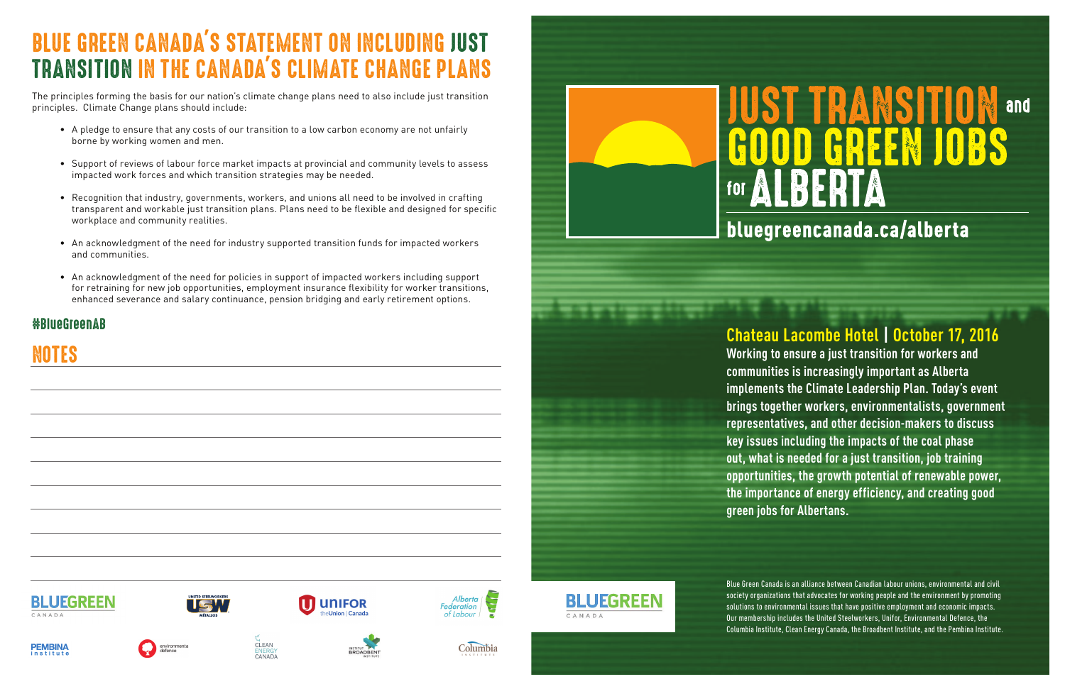**Chateau Lacombe Hotel | October 17, 2016 Working to ensure a just transition for workers and communities is increasingly important as Alberta implements the Climate Leadership Plan. Today's event brings together workers, environmentalists, government representatives, and other decision-makers to discuss key issues including the impacts of the coal phase out, what is needed for a just transition, job training opportunities, the growth potential of renewable power, the importance of energy efficiency, and creating good green jobs for Albertans.** 

Blue Green Canada is an alliance between Canadian labour unions, environmental and civil society organizations that advocates for working people and the environment by promoting solutions to environmental issues that have positive employment and economic impacts. Our membership includes the United Steelworkers, Unifor, Environmental Defence, the Columbia Institute, Clean Energy Canada, the Broadbent Institute, and the Pembina Institute.







CLEAN

ENERG)<br>CANAD/



Columbia





# **TRANSITION GREEN JOBS** LBERT

## bluegreencanada.ca/alberta

# BLUE GREEN CANADA'S STATEMENT ON INCLUDING JUST TRANSITION IN THE CANADA'S CLIMATE CHANGE PLANS

The principles forming the basis for our nation's climate change plans need to also include just transition principles. Climate Change plans should include:

- A pledge to ensure that any costs of our transition to a low carbon economy are not unfairly borne by working women and men.
- Support of reviews of labour force market impacts at provincial and community levels to assess impacted work forces and which transition strategies may be needed.
- Recognition that industry, governments, workers, and unions all need to be involved in crafting transparent and workable just transition plans. Plans need to be flexible and designed for specific workplace and community realities.
- An acknowledgment of the need for industry supported transition funds for impacted workers and communities.
- An acknowledgment of the need for policies in support of impacted workers including support for retraining for new job opportunities, employment insurance flexibility for worker transitions, enhanced severance and salary continuance, pension bridging and early retirement options.

### #BlueGreenAB

NOTES